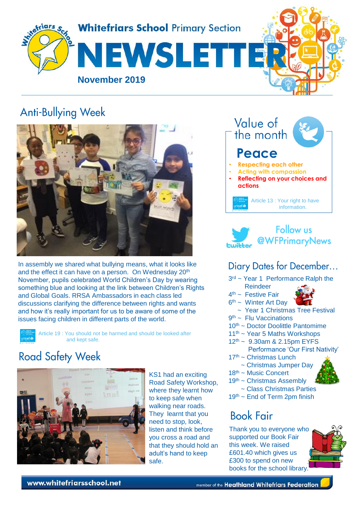

## **Anti-Bullying Week**



In assembly we shared what bullying means, what it looks like and the effect it can have on a person. On Wednesday 20<sup>th</sup> November, pupils celebrated World Children's Day by wearing something blue and looking at the link between Children's Rights and Global Goals. RRSA Ambassadors in each class led discussions clarifying the difference between rights and wants and how it's really important for us to be aware of some of the issues facing children in different parts of the world.

Article 19 : You should not be harmed and should be looked after and kept safe.

# **Road Safety Week**



KS1 had an exciting Road Safety Workshop, where they learnt how to keep safe when walking near roads. They learnt that you need to stop, look, listen and think before you cross a road and that they should hold an adult's hand to keep safe.





#### Diary Dates for December...

- 3<sup>rd</sup> ~ Year 1 Performance Ralph the
- Reindeer
- 4<sup>th</sup> ~ Festive Fair 6<sup>th</sup> ~ Winter Art Day



- ~ Year 1 Christmas Tree Festival
- 9<sup>th</sup> ~ Flu Vaccinations
- 10<sup>th</sup> ~ Doctor Doolittle Pantomime
- 11<sup>th</sup> ~ Year 5 Maths Workshops
- 12th ~ 9.30am & 2.15pm EYFS Performance 'Our First Nativity'
- $17<sup>th</sup>$  ~ Christmas Lunch
	- ~ Christmas Jumper Day
- 18<sup>th</sup> ~ Music Concert
- 19<sup>th</sup> ~ Christmas Assembly
	- ~ Class Christmas Parties
- $19<sup>th</sup>$  ~ End of Term 2pm finish

## **Book Fair**

Thank you to everyone who supported our Book Fair this week. We raised £601.40 which gives us £300 to spend on new books for the school library.

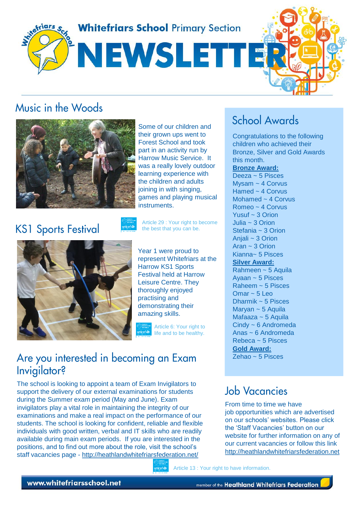

## Music in the Woods



Some of our children and their grown ups went to Forest School and took part in an activity run by Harrow Music Service. It was a really lovely outdoor learning experience with the children and adults joining in with singing, games and playing musical **instruments** 

**KS1 Sports Festival** 

Article 29 : Your right to become the best that you can be.



Year 1 were proud to represent Whitefriars at the Harrow KS1 Sports Festival held at Harrow Leisure Centre. They thoroughly enjoyed practising and demonstrating their amazing skills.

Article 6: Your right to life and to be healthy.

## Are you interested in becoming an Exam Invigilator?

The school is looking to appoint a team of Exam Invigilators to support the delivery of our external examinations for students during the Summer exam period (May and June). Exam invigilators play a vital role in maintaining the integrity of our examinations and make a real impact on the performance of our students. The school is looking for confident, reliable and flexible individuals with good written, verbal and IT skills who are readily available during main exam periods. If you are interested in the positions, and to find out more about the role, visit the school's staff vacancies page - <http://heathlandwhitefriarsfederation.net/>



# **School Awards**

Congratulations to the following children who achieved their Bronze, Silver and Gold Awards this month.

**Bronze Award:**

Deeza ~ 5 Pisces Mysam ~ 4 Corvus Hamed ~ 4 Corvus Mohamed ~ 4 Corvus Romeo ~ 4 Corvus Yusuf ~ 3 Orion Julia ~ 3 Orion Stefania ~ 3 Orion Anjali ~ 3 Orion Aran ~ 3 Orion Kianna~ 5 Pisces **Silver Award:** Rahmeen ~ 5 Aquila Ayaan ~ 5 Pisces Raheem ~ 5 Pisces  $Omar \sim 5$  Leo Dharmik  $\sim$  5 Pisces Maryan ~ 5 Aquila Mafaaza ~ 5 Aquila Cindy ~ 6 Andromeda Anas ~ 6 Andromeda Rebeca  $\approx$  5 Pisces **Gold Award:** Zehao ~  $5$  Pisces

## **Job Vacancies**

From time to time we have job opportunities which are advertised on our schools' websites. Please click the 'Staff Vacancies' button on our website for further information on any of our current vacancies or follow this link [http://heathlandwhitefriarsfederation.net](http://heathlandwhitefriarsfederation.net/)

Article 13 : Your right to have information.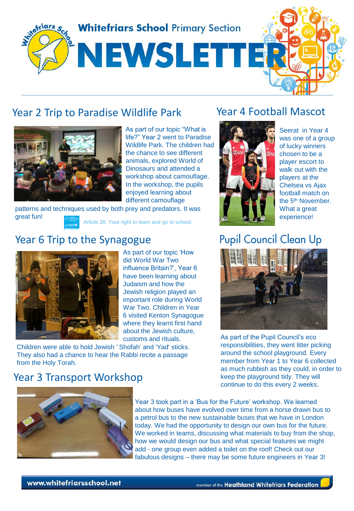

#### Year 2 Trip to Paradise Wildlife Park



As part of our topic "What is life?" Year 2 went to Paradise Wildlife Park. The children had the chance to see different animals, explored World of Dinosaurs and attended a workshop about camouflage. In the workshop, the pupils enjoyed learning about different camouflage

patterns and techniques used by both prey and predators. It was great fun! Article 28: Your right to learn and go to school.

#### Year 6 Trip to the Synagogue



As part of our topic 'How did World War Two influence Britain?', Year 6 have been learning about Judaism and how the Jewish religion played an important role during World War Two. Children in Year 6 visited Kenton Synagogue where they learnt first hand about the Jewish culture, customs and rituals.

Children were able to hold Jewish ' Shofah' and 'Yad' sticks. They also had a chance to hear the Rabbi recite a passage from the Holy Torah.

#### Year 4 Football Mascot



Seerat in Year 4 was one of a group of lucky winners chosen to be a player escort to walk out with the players at the Chelsea vs Ajax football match on the 5<sup>th</sup> November. What a great experience!

# **Pupil Council Clean Up**



As part of the Pupil Council's eco responsibilities, they went litter picking around the school playground. Every member from Year 1 to Year 6 collected as much rubbish as they could, in order to keep the playground tidy. They will continue to do this every 2 weeks.

#### Year 3 Transport Workshop



Year 3 took part in a 'Bus for the Future' workshop. We learned about how buses have evolved over time from a horse drawn bus to a petrol bus to the new sustainable buses that we have in London today. We had the opportunity to design our own bus for the future. We worked in teams, discussing what materials to buy from the shop, how we would design our bus and what special features we might add - one group even added a toilet on the roof! Check out our fabulous designs – there may be some future engineers in Year 3!